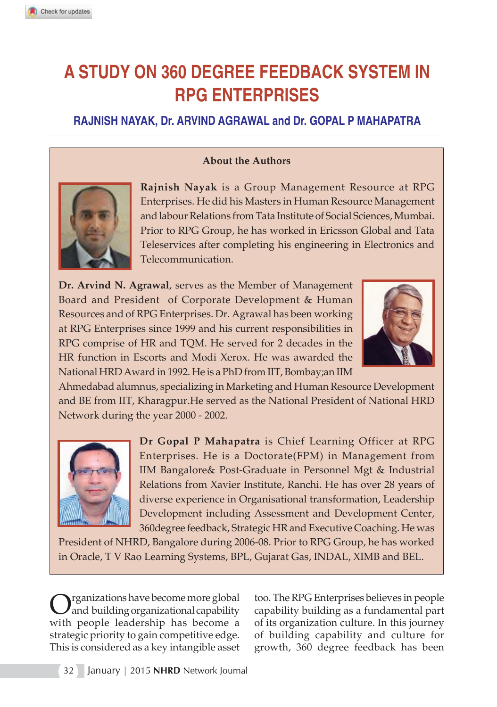# **A STUDY ON 360 DEGREE FEEDBACK SYSTEM IN RPG ENTERPRISES**

**RAJNISH NAYAK, Dr. ARVIND AGRAWAL and Dr. GOPAL P MAHAPATRA**

### **About the Authors**



**Rajnish Nayak** is a Group Management Resource at RPG Enterprises. He did his Masters in Human Resource Management and labour Relations from Tata Institute of Social Sciences, Mumbai. Prior to RPG Group, he has worked in Ericsson Global and Tata Teleservices after completing his engineering in Electronics and Telecommunication.

**Dr. Arvind N. Agrawal**, serves as the Member of Management Board and President of Corporate Development & Human Resources and of RPG Enterprises. Dr. Agrawal has been working at RPG Enterprises since 1999 and his current responsibilities in RPG comprise of HR and TQM. He served for 2 decades in the HR function in Escorts and Modi Xerox. He was awarded the National HRD Award in 1992. He is a PhD from IIT, Bombay;an IIM



Ahmedabad alumnus, specializing in Marketing and Human Resource Development and BE from IIT, Kharagpur.He served as the National President of National HRD Network during the year 2000 - 2002.



**Dr Gopal P Mahapatra** is Chief Learning Officer at RPG Enterprises. He is a Doctorate(FPM) in Management from IIM Bangalore& Post-Graduate in Personnel Mgt & Industrial Relations from Xavier Institute, Ranchi. He has over 28 years of diverse experience in Organisational transformation, Leadership Development including Assessment and Development Center, 360degree feedback, Strategic HR and Executive Coaching. He was

President of NHRD, Bangalore during 2006-08. Prior to RPG Group, he has worked in Oracle, T V Rao Learning Systems, BPL, Gujarat Gas, INDAL, XIMB and BEL.

**O** rganizations have become more global<br>with people leadership has become a rganizations have become more global and building organizational capability strategic priority to gain competitive edge. This is considered as a key intangible asset

too. The RPG Enterprises believes in people capability building as a fundamental part of its organization culture. In this journey of building capability and culture for growth, 360 degree feedback has been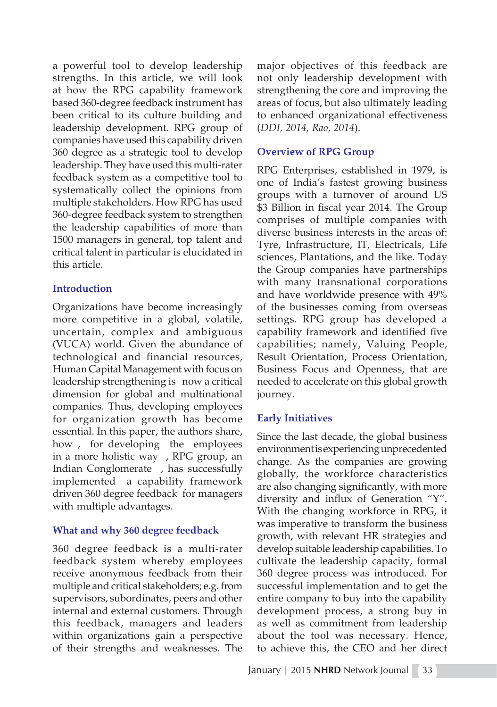a powerful tool to develop leadership strengths. In this article, we will look at how the RPG capability framework based 360-degree feedback instrument has been critical to its culture building and leadership development. RPG group of companies have used this capability driven 360 degree as a strategic tool to develop leadership. They have used this multi-rater feedback system as a competitive tool to systematically collect the opinions from multiple stakeholders. How RPG has used 360-degree feedback system to strengthen the leadership capabilities of more than 1500 managers in general, top talent and critical talent in particular is elucidated in this article.

# **Introduction**

Organizations have become increasingly more competitive in a global, volatile, uncertain, complex and ambiguous (VUCA) world. Given the abundance of technological and financial resources, Human Capital Management with focus on leadership strengthening is now a critical dimension for global and multinational companies. Thus, developing employees for organization growth has become essential. In this paper, the authors share, how , for developing the employees in a more holistic way , RPG group, an Indian Conglomerate , has successfully implemented a capability framework driven 360 degree feedback for managers with multiple advantages.

# **What and why 360 degree feedback**

360 degree feedback is a multi-rater feedback system whereby employees receive anonymous feedback from their multiple and critical stakeholders; e.g. from supervisors, subordinates, peers and other internal and external customers. Through this feedback, managers and leaders within organizations gain a perspective of their strengths and weaknesses. The major objectives of this feedback are not only leadership development with strengthening the core and improving the areas of focus, but also ultimately leading to enhanced organizational effectiveness (*DDI, 2014, Rao, 2014*).

## **Overview of RPG Group**

RPG Enterprises, established in 1979, is one of India's fastest growing business groups with a turnover of around US \$3 Billion in fiscal year 2014. The Group comprises of multiple companies with diverse business interests in the areas of: Tyre, Infrastructure, IT, Electricals, Life sciences, Plantations, and the like. Today the Group companies have partnerships with many transnational corporations and have worldwide presence with 49% of the businesses coming from overseas settings. RPG group has developed a capability framework and identified five capabilities; namely, Valuing People, Result Orientation, Process Orientation, Business Focus and Openness, that are needed to accelerate on this global growth journey.

# **Early Initiatives**

Since the last decade, the global business environment is experiencing unprecedented change. As the companies are growing globally, the workforce characteristics are also changing significantly, with more diversity and influx of Generation "Y". With the changing workforce in RPG, it was imperative to transform the business growth, with relevant HR strategies and develop suitable leadership capabilities. To cultivate the leadership capacity, formal 360 degree process was introduced. For successful implementation and to get the entire company to buy into the capability development process, a strong buy in as well as commitment from leadership about the tool was necessary. Hence, to achieve this, the CEO and her direct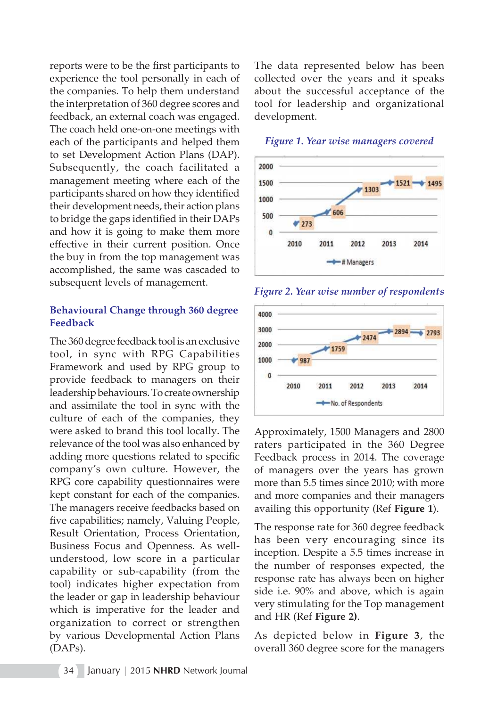reports were to be the first participants to experience the tool personally in each of the companies. To help them understand the interpretation of 360 degree scores and feedback, an external coach was engaged. The coach held one-on-one meetings with each of the participants and helped them to set Development Action Plans (DAP). Subsequently, the coach facilitated a management meeting where each of the participants shared on how they identified their development needs, their action plans to bridge the gaps identified in their DAPs and how it is going to make them more effective in their current position. Once the buy in from the top management was accomplished, the same was cascaded to subsequent levels of management.

## **Behavioural Change through 360 degree Feedback**

The 360 degree feedback tool is an exclusive tool, in sync with RPG Capabilities Framework and used by RPG group to provide feedback to managers on their leadership behaviours. To create ownership and assimilate the tool in sync with the culture of each of the companies, they were asked to brand this tool locally. The relevance of the tool was also enhanced by adding more questions related to specific company's own culture. However, the RPG core capability questionnaires were kept constant for each of the companies. The managers receive feedbacks based on five capabilities; namely, Valuing People, Result Orientation, Process Orientation, Business Focus and Openness. As wellunderstood, low score in a particular capability or sub-capability (from the tool) indicates higher expectation from the leader or gap in leadership behaviour which is imperative for the leader and organization to correct or strengthen by various Developmental Action Plans (DAPs).

The data represented below has been collected over the years and it speaks about the successful acceptance of the tool for leadership and organizational development.



#### *Figure 1. Year wise managers covered*





Approximately, 1500 Managers and 2800 raters participated in the 360 Degree Feedback process in 2014. The coverage of managers over the years has grown more than 5.5 times since 2010; with more and more companies and their managers availing this opportunity (Ref **Figure 1**).

The response rate for 360 degree feedback has been very encouraging since its inception. Despite a 5.5 times increase in the number of responses expected, the response rate has always been on higher side i.e. 90% and above, which is again very stimulating for the Top management and HR (Ref **Figure 2)**.

As depicted below in **Figure 3**, the overall 360 degree score for the managers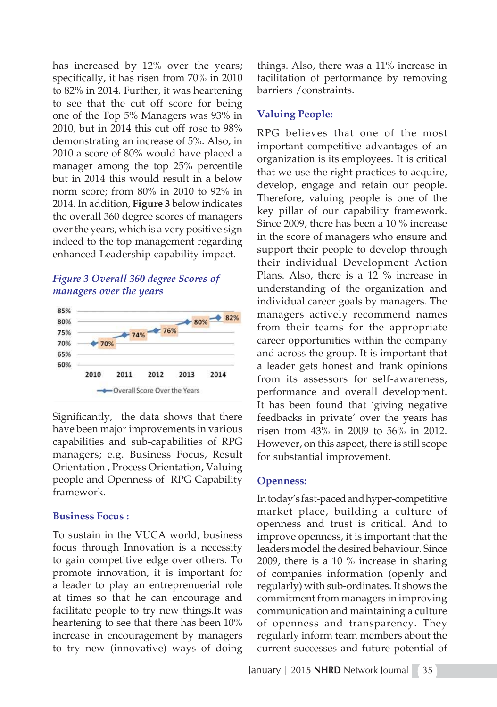has increased by 12% over the years; specifically, it has risen from 70% in 2010 to 82% in 2014. Further, it was heartening to see that the cut off score for being one of the Top 5% Managers was 93% in 2010, but in 2014 this cut off rose to 98% demonstrating an increase of 5%. Also, in 2010 a score of 80% would have placed a manager among the top 25% percentile but in 2014 this would result in a below norm score; from 80% in 2010 to 92% in 2014. In addition, **Figure 3** below indicates the overall 360 degree scores of managers over the years, which is a very positive sign indeed to the top management regarding enhanced Leadership capability impact.

# *Figure 3 Overall 360 degree Scores of managers over the years*



Significantly, the data shows that there have been major improvements in various capabilities and sub-capabilities of RPG managers; e.g. Business Focus, Result Orientation , Process Orientation, Valuing people and Openness of RPG Capability framework.

## **Business Focus :**

To sustain in the VUCA world, business focus through Innovation is a necessity to gain competitive edge over others. To promote innovation, it is important for a leader to play an entreprenuerial role at times so that he can encourage and facilitate people to try new things.It was heartening to see that there has been 10% increase in encouragement by managers to try new (innovative) ways of doing things. Also, there was a 11% increase in facilitation of performance by removing barriers /constraints.

## **Valuing People:**

RPG believes that one of the most important competitive advantages of an organization is its employees. It is critical that we use the right practices to acquire, develop, engage and retain our people. Therefore, valuing people is one of the key pillar of our capability framework. Since 2009, there has been a 10 % increase in the score of managers who ensure and support their people to develop through their individual Development Action Plans. Also, there is a 12 % increase in understanding of the organization and individual career goals by managers. The managers actively recommend names from their teams for the appropriate career opportunities within the company and across the group. It is important that a leader gets honest and frank opinions from its assessors for self-awareness, performance and overall development. It has been found that 'giving negative feedbacks in private' over the years has risen from 43% in 2009 to 56% in 2012. However, on this aspect, there is still scope for substantial improvement.

## **Openness:**

In today's fast-paced and hyper-competitive market place, building a culture of openness and trust is critical. And to improve openness, it is important that the leaders model the desired behaviour. Since 2009, there is a 10 % increase in sharing of companies information (openly and regularly) with sub-ordinates. It shows the commitment from managers in improving communication and maintaining a culture of openness and transparency. They regularly inform team members about the current successes and future potential of